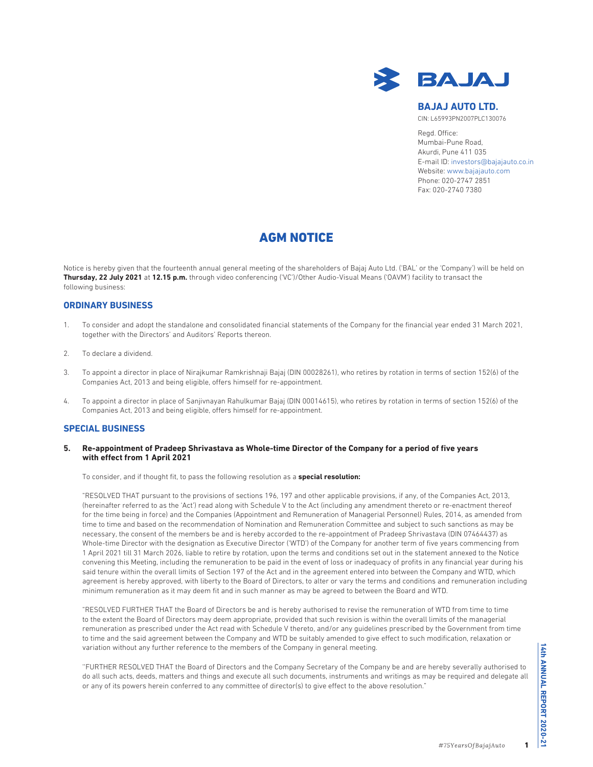

# **BAJAJ AUTO LTD.**

CIN: L65993PN2007PLC130076

Regd. Office: Mumbai-Pune Road, Akurdi, Pune 411 035 E-mail ID: investors@bajajauto.co.in Website: www.bajajauto.com Phone: 020-2747 2851 Fax: 020-2740 7380

# AGM NOTICE

Notice is hereby given that the fourteenth annual general meeting of the shareholders of Bajaj Auto Ltd. ('BAL' or the 'Company') will be held on **Thursday, 22 July 2021** at **12.15 p.m.** through video conferencing ('VC')/Other Audio-Visual Means ('OAVM') facility to transact the following business:

# **ORDINARY BUSINESS**

- 1. To consider and adopt the standalone and consolidated financial statements of the Company for the financial year ended 31 March 2021, together with the Directors' and Auditors' Reports thereon.
- 2. To declare a dividend.
- 3. To appoint a director in place of Nirajkumar Ramkrishnaji Bajaj (DIN 00028261), who retires by rotation in terms of section 152(6) of the Companies Act, 2013 and being eligible, offers himself for re-appointment.
- 4. To appoint a director in place of Sanjivnayan Rahulkumar Bajaj (DIN 00014615), who retires by rotation in terms of section 152(6) of the Companies Act, 2013 and being eligible, offers himself for re-appointment.

# **SPECIAL BUSINESS**

**5. Re-appointment of Pradeep Shrivastava as Whole-time Director of the Company for a period of five years with effect from 1 April 2021**

To consider, and if thought fit, to pass the following resolution as a **special resolution:**

 "RESOLVED THAT pursuant to the provisions of sections 196, 197 and other applicable provisions, if any, of the Companies Act, 2013, (hereinafter referred to as the 'Act') read along with Schedule V to the Act (including any amendment thereto or re-enactment thereof for the time being in force) and the Companies (Appointment and Remuneration of Managerial Personnel) Rules, 2014, as amended from time to time and based on the recommendation of Nomination and Remuneration Committee and subject to such sanctions as may be necessary, the consent of the members be and is hereby accorded to the re-appointment of Pradeep Shrivastava (DIN 07464437) as Whole-time Director with the designation as Executive Director ('WTD') of the Company for another term of five years commencing from 1 April 2021 till 31 March 2026, liable to retire by rotation, upon the terms and conditions set out in the statement annexed to the Notice convening this Meeting, including the remuneration to be paid in the event of loss or inadequacy of profits in any financial year during his said tenure within the overall limits of Section 197 of the Act and in the agreement entered into between the Company and WTD, which agreement is hereby approved, with liberty to the Board of Directors, to alter or vary the terms and conditions and remuneration including minimum remuneration as it may deem fit and in such manner as may be agreed to between the Board and WTD.

 "RESOLVED FURTHER THAT the Board of Directors be and is hereby authorised to revise the remuneration of WTD from time to time to the extent the Board of Directors may deem appropriate, provided that such revision is within the overall limits of the managerial remuneration as prescribed under the Act read with Schedule V thereto, and/or any guidelines prescribed by the Government from time to time and the said agreement between the Company and WTD be suitably amended to give effect to such modification, relaxation or variation without any further reference to the members of the Company in general meeting.

 ''FURTHER RESOLVED THAT the Board of Directors and the Company Secretary of the Company be and are hereby severally authorised to do all such acts, deeds, matters and things and execute all such documents, instruments and writings as may be required and delegate all or any of its powers herein conferred to any committee of director(s) to give effect to the above resolution."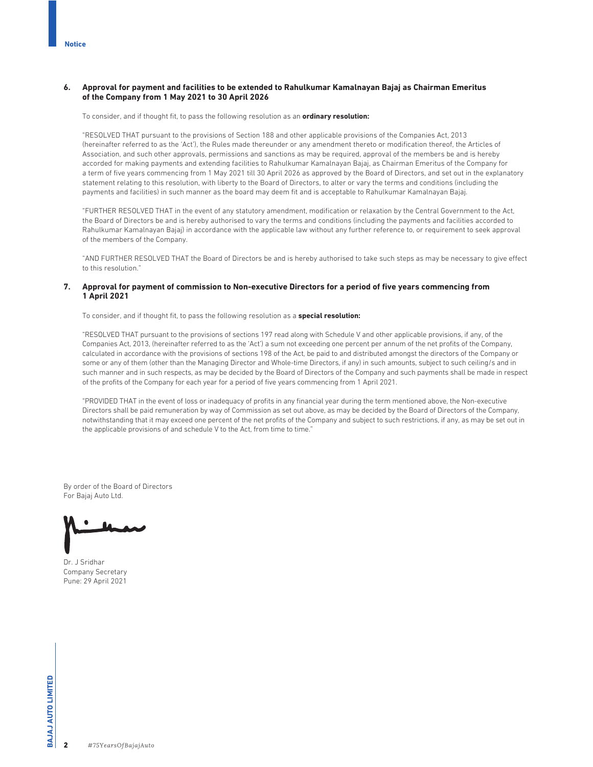# **6. Approval for payment and facilities to be extended to Rahulkumar Kamalnayan Bajaj as Chairman Emeritus of the Company from 1 May 2021 to 30 April 2026**

To consider, and if thought fit, to pass the following resolution as an **ordinary resolution:**

 "RESOLVED THAT pursuant to the provisions of Section 188 and other applicable provisions of the Companies Act, 2013 (hereinafter referred to as the 'Act'), the Rules made thereunder or any amendment thereto or modification thereof, the Articles of Association, and such other approvals, permissions and sanctions as may be required, approval of the members be and is hereby accorded for making payments and extending facilities to Rahulkumar Kamalnayan Bajaj, as Chairman Emeritus of the Company for a term of five years commencing from 1 May 2021 till 30 April 2026 as approved by the Board of Directors, and set out in the explanatory statement relating to this resolution, with liberty to the Board of Directors, to alter or vary the terms and conditions (including the payments and facilities) in such manner as the board may deem fit and is acceptable to Rahulkumar Kamalnayan Bajaj.

 "FURTHER RESOLVED THAT in the event of any statutory amendment, modification or relaxation by the Central Government to the Act, the Board of Directors be and is hereby authorised to vary the terms and conditions (including the payments and facilities accorded to Rahulkumar Kamalnayan Bajaj) in accordance with the applicable law without any further reference to, or requirement to seek approval of the members of the Company.

 "AND FURTHER RESOLVED THAT the Board of Directors be and is hereby authorised to take such steps as may be necessary to give effect to this resolution."

# **7. Approval for payment of commission to Non-executive Directors for a period of five years commencing from 1 April 2021**

To consider, and if thought fit, to pass the following resolution as a **special resolution:**

 "RESOLVED THAT pursuant to the provisions of sections 197 read along with Schedule V and other applicable provisions, if any, of the Companies Act, 2013, (hereinafter referred to as the 'Act') a sum not exceeding one percent per annum of the net profits of the Company, calculated in accordance with the provisions of sections 198 of the Act, be paid to and distributed amongst the directors of the Company or some or any of them (other than the Managing Director and Whole-time Directors, if any) in such amounts, subject to such ceiling/s and in such manner and in such respects, as may be decided by the Board of Directors of the Company and such payments shall be made in respect of the profits of the Company for each year for a period of five years commencing from 1 April 2021.

 "PROVIDED THAT in the event of loss or inadequacy of profits in any financial year during the term mentioned above, the Non-executive Directors shall be paid remuneration by way of Commission as set out above, as may be decided by the Board of Directors of the Company, notwithstanding that it may exceed one percent of the net profits of the Company and subject to such restrictions, if any, as may be set out in the applicable provisions of and schedule V to the Act, from time to time."

By order of the Board of Directors For Bajaj Auto Ltd.

Dr. J Sridhar Company Secretary Pune: 29 April 2021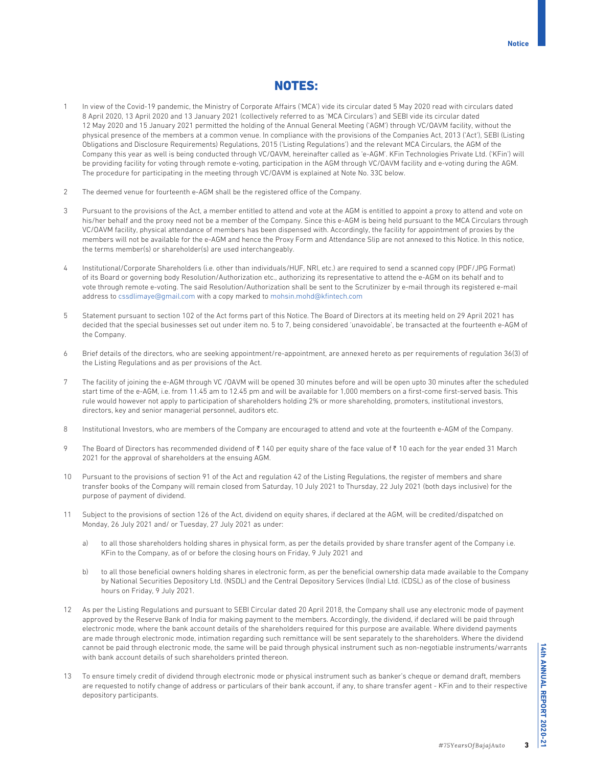# NOTES:

- In view of the Covid-19 pandemic, the Ministry of Corporate Affairs ('MCA') vide its circular dated 5 May 2020 read with circulars dated 8 April 2020, 13 April 2020 and 13 January 2021 (collectively referred to as 'MCA Circulars') and SEBI vide its circular dated 12 May 2020 and 15 January 2021 permitted the holding of the Annual General Meeting ('AGM') through VC/OAVM facility, without the physical presence of the members at a common venue. In compliance with the provisions of the Companies Act, 2013 ('Act'), SEBI (Listing Obligations and Disclosure Requirements) Regulations, 2015 ('Listing Regulations') and the relevant MCA Circulars, the AGM of the Company this year as well is being conducted through VC/OAVM, hereinafter called as 'e-AGM'. KFin Technologies Private Ltd. ('KFin') will be providing facility for voting through remote e-voting, participation in the AGM through VC/OAVM facility and e-voting during the AGM. The procedure for participating in the meeting through VC/OAVM is explained at Note No. 33C below.
- 2 The deemed venue for fourteenth e-AGM shall be the registered office of the Company.
- 3 Pursuant to the provisions of the Act, a member entitled to attend and vote at the AGM is entitled to appoint a proxy to attend and vote on his/her behalf and the proxy need not be a member of the Company. Since this e-AGM is being held pursuant to the MCA Circulars through VC/OAVM facility, physical attendance of members has been dispensed with. Accordingly, the facility for appointment of proxies by the members will not be available for the e-AGM and hence the Proxy Form and Attendance Slip are not annexed to this Notice. In this notice, the terms member(s) or shareholder(s) are used interchangeably.
- 4 Institutional/Corporate Shareholders (i.e. other than individuals/HUF, NRI, etc.) are required to send a scanned copy (PDF/JPG Format) of its Board or governing body Resolution/Authorization etc., authorizing its representative to attend the e-AGM on its behalf and to vote through remote e-voting. The said Resolution/Authorization shall be sent to the Scrutinizer by e-mail through its registered e-mail address to cssdlimaye@gmail.com with a copy marked to mohsin.mohd@kfintech.com
- 5 Statement pursuant to section 102 of the Act forms part of this Notice. The Board of Directors at its meeting held on 29 April 2021 has decided that the special businesses set out under item no. 5 to 7, being considered 'unavoidable', be transacted at the fourteenth e-AGM of the Company.
- 6 Brief details of the directors, who are seeking appointment/re-appointment, are annexed hereto as per requirements of regulation 36(3) of the Listing Regulations and as per provisions of the Act.
- 7 The facility of joining the e-AGM through VC /OAVM will be opened 30 minutes before and will be open upto 30 minutes after the scheduled start time of the e-AGM, i.e. from 11.45 am to 12.45 pm and will be available for 1,000 members on a first-come first-served basis. This rule would however not apply to participation of shareholders holding 2% or more shareholding, promoters, institutional investors, directors, key and senior managerial personnel, auditors etc.
- 8 Institutional Investors, who are members of the Company are encouraged to attend and vote at the fourteenth e-AGM of the Company.
- 9 The Board of Directors has recommended dividend of ₹140 per equity share of the face value of ₹10 each for the year ended 31 March 2021 for the approval of shareholders at the ensuing AGM.
- 10 Pursuant to the provisions of section 91 of the Act and regulation 42 of the Listing Regulations, the register of members and share transfer books of the Company will remain closed from Saturday, 10 July 2021 to Thursday, 22 July 2021 (both days inclusive) for the purpose of payment of dividend.
- 11 Subject to the provisions of section 126 of the Act, dividend on equity shares, if declared at the AGM, will be credited/dispatched on Monday, 26 July 2021 and/ or Tuesday, 27 July 2021 as under:
	- a) to all those shareholders holding shares in physical form, as per the details provided by share transfer agent of the Company i.e. KFin to the Company, as of or before the closing hours on Friday, 9 July 2021 and
	- b) to all those beneficial owners holding shares in electronic form, as per the beneficial ownership data made available to the Company by National Securities Depository Ltd. (NSDL) and the Central Depository Services (India) Ltd. (CDSL) as of the close of business hours on Friday, 9 July 2021.
- 12 As per the Listing Regulations and pursuant to SEBI Circular dated 20 April 2018, the Company shall use any electronic mode of payment approved by the Reserve Bank of India for making payment to the members. Accordingly, the dividend, if declared will be paid through electronic mode, where the bank account details of the shareholders required for this purpose are available. Where dividend payments are made through electronic mode, intimation regarding such remittance will be sent separately to the shareholders. Where the dividend cannot be paid through electronic mode, the same will be paid through physical instrument such as non-negotiable instruments/warrants with bank account details of such shareholders printed thereon.
- 13 To ensure timely credit of dividend through electronic mode or physical instrument such as banker's cheque or demand draft, members are requested to notify change of address or particulars of their bank account, if any, to share transfer agent - KFin and to their respective depository participants.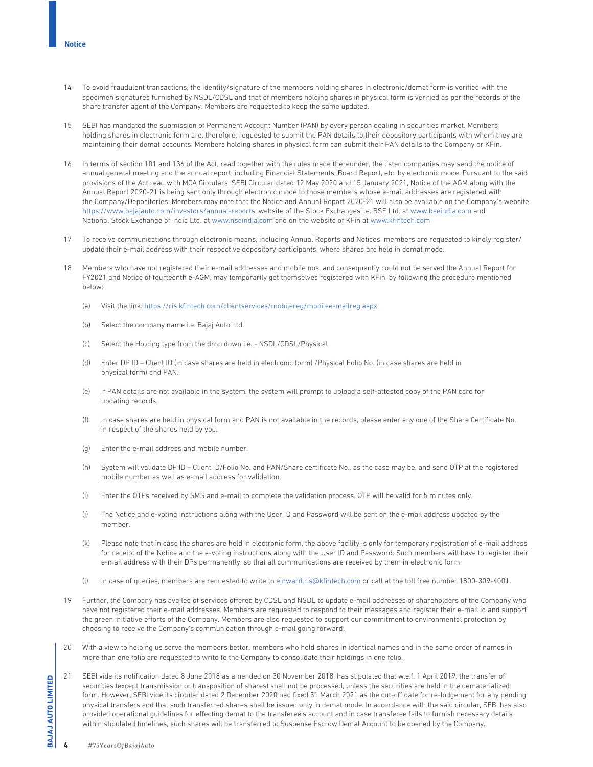- 14 To avoid fraudulent transactions, the identity/signature of the members holding shares in electronic/demat form is verified with the specimen signatures furnished by NSDL/CDSL and that of members holding shares in physical form is verified as per the records of the share transfer agent of the Company. Members are requested to keep the same updated.
- 15 SEBI has mandated the submission of Permanent Account Number (PAN) by every person dealing in securities market. Members holding shares in electronic form are, therefore, requested to submit the PAN details to their depository participants with whom they are maintaining their demat accounts. Members holding shares in physical form can submit their PAN details to the Company or KFin.
- 16 In terms of section 101 and 136 of the Act, read together with the rules made thereunder, the listed companies may send the notice of annual general meeting and the annual report, including Financial Statements, Board Report, etc. by electronic mode. Pursuant to the said provisions of the Act read with MCA Circulars, SEBI Circular dated 12 May 2020 and 15 January 2021, Notice of the AGM along with the Annual Report 2020-21 is being sent only through electronic mode to those members whose e-mail addresses are registered with the Company/Depositories. Members may note that the Notice and Annual Report 2020-21 will also be available on the Company's website https://www.bajajauto.com/investors/annual-reports, website of the Stock Exchanges i.e. BSE Ltd. at www.bseindia.com and National Stock Exchange of India Ltd. at www.nseindia.com and on the website of KFin at www.kfintech.com
- 17 To receive communications through electronic means, including Annual Reports and Notices, members are requested to kindly register/ update their e-mail address with their respective depository participants, where shares are held in demat mode.
- 18 Members who have not registered their e-mail addresses and mobile nos. and consequently could not be served the Annual Report for FY2021 and Notice of fourteenth e-AGM, may temporarily get themselves registered with KFin, by following the procedure mentioned below:
	- (a) Visit the link: https://ris.kfintech.com/clientservices/mobilereg/mobilee-mailreg.aspx
	- (b) Select the company name i.e. Bajaj Auto Ltd.
	- (c) Select the Holding type from the drop down i.e. NSDL/CDSL/Physical
	- (d) Enter DP ID Client ID (in case shares are held in electronic form) /Physical Folio No. (in case shares are held in physical form) and PAN.
	- (e) If PAN details are not available in the system, the system will prompt to upload a self-attested copy of the PAN card for updating records.
	- (f) In case shares are held in physical form and PAN is not available in the records, please enter any one of the Share Certificate No. in respect of the shares held by you.
	- (g) Enter the e-mail address and mobile number.
	- (h) System will validate DP ID Client ID/Folio No. and PAN/Share certificate No., as the case may be, and send OTP at the registered mobile number as well as e-mail address for validation.
	- (i) Enter the OTPs received by SMS and e-mail to complete the validation process. OTP will be valid for 5 minutes only.
	- (j) The Notice and e-voting instructions along with the User ID and Password will be sent on the e-mail address updated by the member.
	- (k) Please note that in case the shares are held in electronic form, the above facility is only for temporary registration of e-mail address for receipt of the Notice and the e-voting instructions along with the User ID and Password. Such members will have to register their e-mail address with their DPs permanently, so that all communications are received by them in electronic form.
	- (l) In case of queries, members are requested to write to einward.ris@kfintech.com or call at the toll free number 1800-309-4001.
- 19 Further, the Company has availed of services offered by CDSL and NSDL to update e-mail addresses of shareholders of the Company who have not registered their e-mail addresses. Members are requested to respond to their messages and register their e-mail id and support the green initiative efforts of the Company. Members are also requested to support our commitment to environmental protection by choosing to receive the Company's communication through e-mail going forward.
- 20 With a view to helping us serve the members better, members who hold shares in identical names and in the same order of names in more than one folio are requested to write to the Company to consolidate their holdings in one folio.
- 21 SEBI vide its notification dated 8 June 2018 as amended on 30 November 2018, has stipulated that w.e.f. 1 April 2019, the transfer of securities (except transmission or transposition of shares) shall not be processed, unless the securities are held in the dematerialized form. However, SEBI vide its circular dated 2 December 2020 had fixed 31 March 2021 as the cut-off date for re-lodgement for any pending physical transfers and that such transferred shares shall be issued only in demat mode. In accordance with the said circular, SEBI has also provided operational guidelines for effecting demat to the transferee's account and in case transferee fails to furnish necessary details within stipulated timelines, such shares will be transferred to Suspense Escrow Demat Account to be opened by the Company.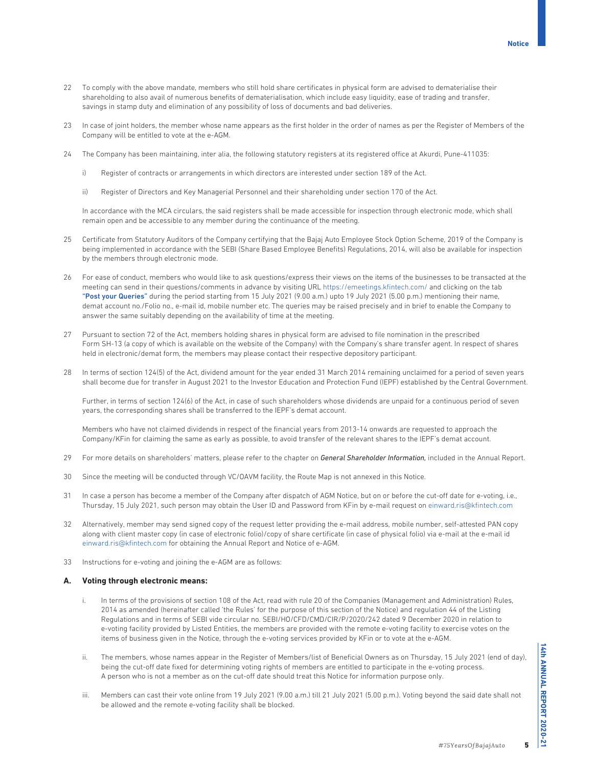- 22 To comply with the above mandate, members who still hold share certificates in physical form are advised to dematerialise their shareholding to also avail of numerous benefits of dematerialisation, which include easy liquidity, ease of trading and transfer, savings in stamp duty and elimination of any possibility of loss of documents and bad deliveries.
- 23 In case of joint holders, the member whose name appears as the first holder in the order of names as per the Register of Members of the Company will be entitled to vote at the e-AGM.
- 24 The Company has been maintaining, inter alia, the following statutory registers at its registered office at Akurdi, Pune-411035:
	- i) Register of contracts or arrangements in which directors are interested under section 189 of the Act.
	- ii) Register of Directors and Key Managerial Personnel and their shareholding under section 170 of the Act.

 In accordance with the MCA circulars, the said registers shall be made accessible for inspection through electronic mode, which shall remain open and be accessible to any member during the continuance of the meeting.

- 25 Certificate from Statutory Auditors of the Company certifying that the Bajaj Auto Employee Stock Option Scheme, 2019 of the Company is being implemented in accordance with the SEBI (Share Based Employee Benefits) Regulations, 2014, will also be available for inspection by the members through electronic mode.
- 26 For ease of conduct, members who would like to ask questions/express their views on the items of the businesses to be transacted at the meeting can send in their questions/comments in advance by visiting URL https://emeetings.kfintech.com/ and clicking on the tab "Post your Queries" during the period starting from 15 July 2021 (9.00 a.m.) upto 19 July 2021 (5.00 p.m.) mentioning their name, demat account no./Folio no., e-mail id, mobile number etc. The queries may be raised precisely and in brief to enable the Company to answer the same suitably depending on the availability of time at the meeting.
- 27 Pursuant to section 72 of the Act, members holding shares in physical form are advised to file nomination in the prescribed Form SH-13 (a copy of which is available on the website of the Company) with the Company's share transfer agent. In respect of shares held in electronic/demat form, the members may please contact their respective depository participant.
- 28 In terms of section 124(5) of the Act, dividend amount for the year ended 31 March 2014 remaining unclaimed for a period of seven years shall become due for transfer in August 2021 to the Investor Education and Protection Fund (IEPF) established by the Central Government.

 Further, in terms of section 124(6) of the Act, in case of such shareholders whose dividends are unpaid for a continuous period of seven years, the corresponding shares shall be transferred to the IEPF's demat account.

 Members who have not claimed dividends in respect of the financial years from 2013-14 onwards are requested to approach the Company/KFin for claiming the same as early as possible, to avoid transfer of the relevant shares to the IEPF's demat account.

- 29 For more details on shareholders' matters, please refer to the chapter on *General Shareholder Information,* included in the Annual Report.
- 30 Since the meeting will be conducted through VC/OAVM facility, the Route Map is not annexed in this Notice.
- 31 In case a person has become a member of the Company after dispatch of AGM Notice, but on or before the cut-off date for e-voting, i.e., Thursday, 15 July 2021, such person may obtain the User ID and Password from KFin by e-mail request on einward.ris@kfintech.com
- 32 Alternatively, member may send signed copy of the request letter providing the e-mail address, mobile number, self-attested PAN copy along with client master copy (in case of electronic folio)/copy of share certificate (in case of physical folio) via e-mail at the e-mail id einward.ris@kfintech.com for obtaining the Annual Report and Notice of e-AGM.
- 33 Instructions for e-voting and joining the e-AGM are as follows:

# **A. Voting through electronic means:**

- i. In terms of the provisions of section 108 of the Act, read with rule 20 of the Companies (Management and Administration) Rules, 2014 as amended (hereinafter called 'the Rules' for the purpose of this section of the Notice) and regulation 44 of the Listing Regulations and in terms of SEBI vide circular no. SEBI/HO/CFD/CMD/CIR/P/2020/242 dated 9 December 2020 in relation to e-voting facility provided by Listed Entities, the members are provided with the remote e-voting facility to exercise votes on the items of business given in the Notice, through the e-voting services provided by KFin or to vote at the e-AGM.
- ii. The members, whose names appear in the Register of Members/list of Beneficial Owners as on Thursday, 15 July 2021 (end of day), being the cut-off date fixed for determining voting rights of members are entitled to participate in the e-voting process. A person who is not a member as on the cut-off date should treat this Notice for information purpose only.
- iii. Members can cast their vote online from 19 July 2021 (9.00 a.m.) till 21 July 2021 (5.00 p.m.). Voting beyond the said date shall not be allowed and the remote e-voting facility shall be blocked.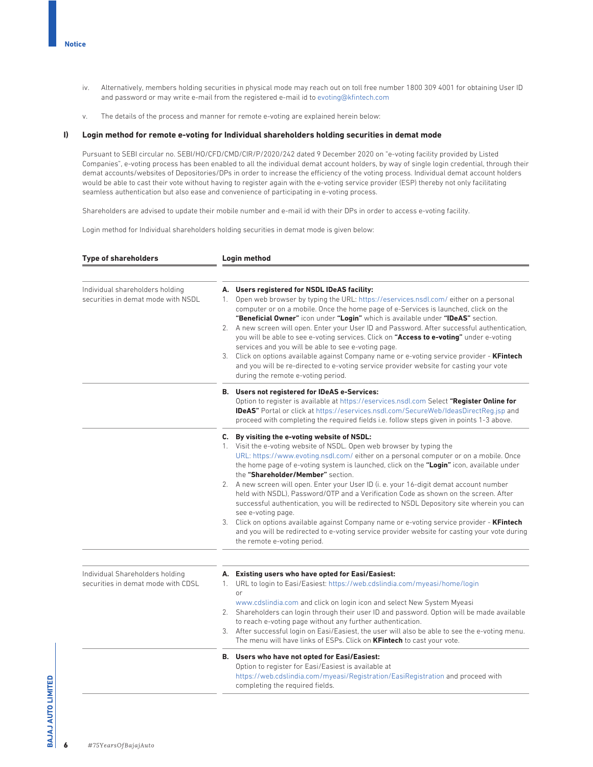- iv. Alternatively, members holding securities in physical mode may reach out on toll free number 1800 309 4001 for obtaining User ID and password or may write e-mail from the registered e-mail id to evoting@kfintech.com
- v. The details of the process and manner for remote e-voting are explained herein below:

#### **I) Login method for remote e-voting for Individual shareholders holding securities in demat mode**

 Pursuant to SEBI circular no. SEBI/HO/CFD/CMD/CIR/P/2020/242 dated 9 December 2020 on "e-voting facility provided by Listed Companies", e-voting process has been enabled to all the individual demat account holders, by way of single login credential, through their demat accounts/websites of Depositories/DPs in order to increase the efficiency of the voting process. Individual demat account holders would be able to cast their vote without having to register again with the e-voting service provider (ESP) thereby not only facilitating seamless authentication but also ease and convenience of participating in e-voting process.

Shareholders are advised to update their mobile number and e-mail id with their DPs in order to access e-voting facility.

Login method for Individual shareholders holding securities in demat mode is given below:

| <b>Type of shareholders</b>                                           | Login method                                                                                                                                                                                                                                                                                                                                                                                                                                                                                                                                                                                                                                                                                                                                                                                                                                                                     |  |  |
|-----------------------------------------------------------------------|----------------------------------------------------------------------------------------------------------------------------------------------------------------------------------------------------------------------------------------------------------------------------------------------------------------------------------------------------------------------------------------------------------------------------------------------------------------------------------------------------------------------------------------------------------------------------------------------------------------------------------------------------------------------------------------------------------------------------------------------------------------------------------------------------------------------------------------------------------------------------------|--|--|
| Individual shareholders holding<br>securities in demat mode with NSDL | A. Users registered for NSDL IDeAS facility:<br>Open web browser by typing the URL: https://eservices.nsdl.com/either on a personal<br>$1_{\cdot}$<br>computer or on a mobile. Once the home page of e-Services is launched, click on the<br>"Beneficial Owner" icon under "Login" which is available under "IDeAS" section.<br>2. A new screen will open. Enter your User ID and Password. After successful authentication,<br>you will be able to see e-voting services. Click on "Access to e-voting" under e-voting<br>services and you will be able to see e-voting page.<br>3. Click on options available against Company name or e-voting service provider - <b>KFintech</b><br>and you will be re-directed to e-voting service provider website for casting your vote<br>during the remote e-voting period.                                                              |  |  |
|                                                                       | <b>B.</b> Users not registered for IDeAS e-Services:<br>Option to register is available at https://eservices.nsdl.com Select "Register Online for<br><b>IDeAS"</b> Portal or click at https://eservices.nsdl.com/SecureWeb/IdeasDirectReg.jsp and<br>proceed with completing the required fields i.e. follow steps given in points 1-3 above.                                                                                                                                                                                                                                                                                                                                                                                                                                                                                                                                    |  |  |
|                                                                       | C. By visiting the e-voting website of NSDL:<br>1. Visit the e-voting website of NSDL. Open web browser by typing the<br>URL: https://www.evoting.nsdl.com/either on a personal computer or on a mobile. Once<br>the home page of e-voting system is launched, click on the "Login" icon, available under<br>the "Shareholder/Member" section.<br>2. A new screen will open. Enter your User ID (i. e. your 16-digit demat account number<br>held with NSDL), Password/OTP and a Verification Code as shown on the screen. After<br>successful authentication, you will be redirected to NSDL Depository site wherein you can<br>see e-voting page.<br>3. Click on options available against Company name or e-voting service provider - KFintech<br>and you will be redirected to e-voting service provider website for casting your vote during<br>the remote e-voting period. |  |  |
| Individual Shareholders holding<br>securities in demat mode with CDSL | A. Existing users who have opted for Easi/Easiest:<br>URL to login to Easi/Easiest: https://web.cdslindia.com/myeasi/home/login<br>1.<br>or<br>www.cdslindia.com and click on login icon and select New System Myeasi<br>2. Shareholders can login through their user ID and password. Option will be made available<br>to reach e-voting page without any further authentication.<br>3. After successful login on Easi/Easiest, the user will also be able to see the e-voting menu.<br>The menu will have links of ESPs. Click on KFintech to cast your vote.                                                                                                                                                                                                                                                                                                                  |  |  |
|                                                                       | B. Users who have not opted for Easi/Easiest:<br>Option to register for Easi/Easiest is available at<br>https://web.cdslindia.com/myeasi/Registration/EasiRegistration and proceed with<br>completing the required fields.                                                                                                                                                                                                                                                                                                                                                                                                                                                                                                                                                                                                                                                       |  |  |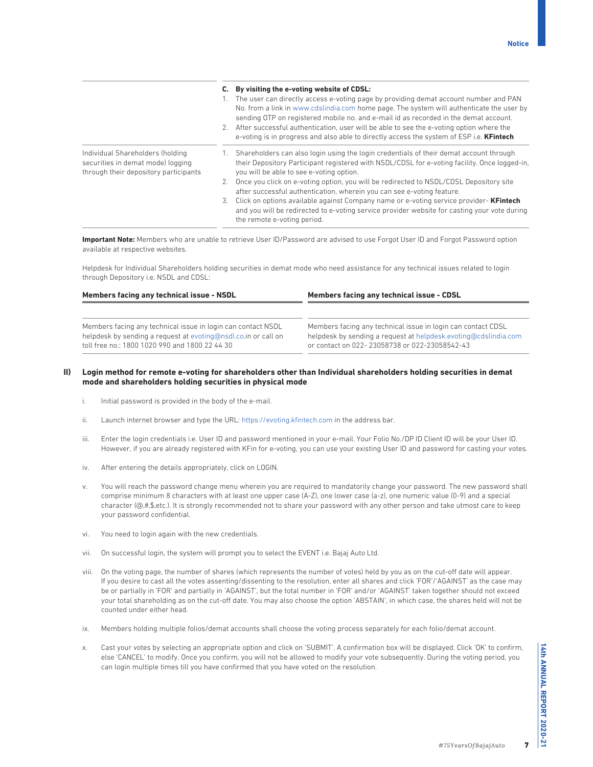|                                                                                                                |    | By visiting the e-voting website of CDSL:<br>The user can directly access e-voting page by providing demat account number and PAN<br>No. from a link in www.cdslindia.com home page. The system will authenticate the user by<br>sending OTP on registered mobile no. and e-mail id as recorded in the demat account.<br>2. After successful authentication, user will be able to see the e-voting option where the<br>e-voting is in progress and also able to directly access the system of ESP i.e. <b>KFintech</b> |
|----------------------------------------------------------------------------------------------------------------|----|------------------------------------------------------------------------------------------------------------------------------------------------------------------------------------------------------------------------------------------------------------------------------------------------------------------------------------------------------------------------------------------------------------------------------------------------------------------------------------------------------------------------|
| Individual Shareholders (holding<br>securities in demat mode) logging<br>through their depository participants |    | Shareholders can also login using the login credentials of their demat account through<br>their Depository Participant registered with NSDL/CDSL for e-voting facility. Once logged-in,<br>you will be able to see e-voting option.                                                                                                                                                                                                                                                                                    |
|                                                                                                                |    | 2. Once you click on e-voting option, you will be redirected to NSDL/CDSL Depository site<br>after successful authentication, wherein you can see e-voting feature.                                                                                                                                                                                                                                                                                                                                                    |
|                                                                                                                | 3. | Click on options available against Company name or e-voting service provider- <b>KFintech</b><br>and you will be redirected to e-voting service provider website for casting your vote during<br>the remote e-voting period.                                                                                                                                                                                                                                                                                           |

**Important Note:** Members who are unable to retrieve User ID/Password are advised to use Forgot User ID and Forgot Password option available at respective websites.

 Helpdesk for Individual Shareholders holding securities in demat mode who need assistance for any technical issues related to login through Depository i.e. NSDL and CDSL:

| Members facing any technical issue - NSDL                                                                                                                                        | Members facing any technical issue - CDSL                                                                                                                                        |  |  |
|----------------------------------------------------------------------------------------------------------------------------------------------------------------------------------|----------------------------------------------------------------------------------------------------------------------------------------------------------------------------------|--|--|
|                                                                                                                                                                                  |                                                                                                                                                                                  |  |  |
| Members facing any technical issue in login can contact NSDL<br>helpdesk by sending a request at evoting@nsdl.co.in or call on<br>toll free no.: 1800 1020 990 and 1800 22 44 30 | Members facing any technical issue in login can contact CDSL<br>helpdesk by sending a request at helpdesk.evoting@cdslindia.com<br>or contact on 022-23058738 or 022-23058542-43 |  |  |

# **II) Login method for remote e-voting for shareholders other than Individual shareholders holding securities in demat mode and shareholders holding securities in physical mode**

- i. Initial password is provided in the body of the e-mail.
- ii. Launch internet browser and type the URL: https://evoting.kfintech.com in the address bar.
- iii. Enter the login credentials i.e. User ID and password mentioned in your e-mail. Your Folio No./DP ID Client ID will be your User ID. However, if you are already registered with KFin for e-voting, you can use your existing User ID and password for casting your votes.
- iv. After entering the details appropriately, click on LOGIN.
- v. You will reach the password change menu wherein you are required to mandatorily change your password. The new password shall comprise minimum 8 characters with at least one upper case (A-Z), one lower case (a-z), one numeric value (0-9) and a special character (@,#,\$,etc.). It is strongly recommended not to share your password with any other person and take utmost care to keep your password confidential.
- vi. You need to login again with the new credentials.
- vii. On successful login, the system will prompt you to select the EVENT i.e. Bajaj Auto Ltd.
- viii. On the voting page, the number of shares (which represents the number of votes) held by you as on the cut-off date will appear. If you desire to cast all the votes assenting/dissenting to the resolution, enter all shares and click 'FOR'/'AGAINST' as the case may be or partially in 'FOR' and partially in 'AGAINST', but the total number in 'FOR' and/or 'AGAINST' taken together should not exceed your total shareholding as on the cut-off date. You may also choose the option 'ABSTAIN', in which case, the shares held will not be counted under either head.
- ix. Members holding multiple folios/demat accounts shall choose the voting process separately for each folio/demat account.
- x. Cast your votes by selecting an appropriate option and click on 'SUBMIT'. A confirmation box will be displayed. Click 'OK' to confirm, else 'CANCEL' to modify. Once you confirm, you will not be allowed to modify your vote subsequently. During the voting period, you can login multiple times till you have confirmed that you have voted on the resolution.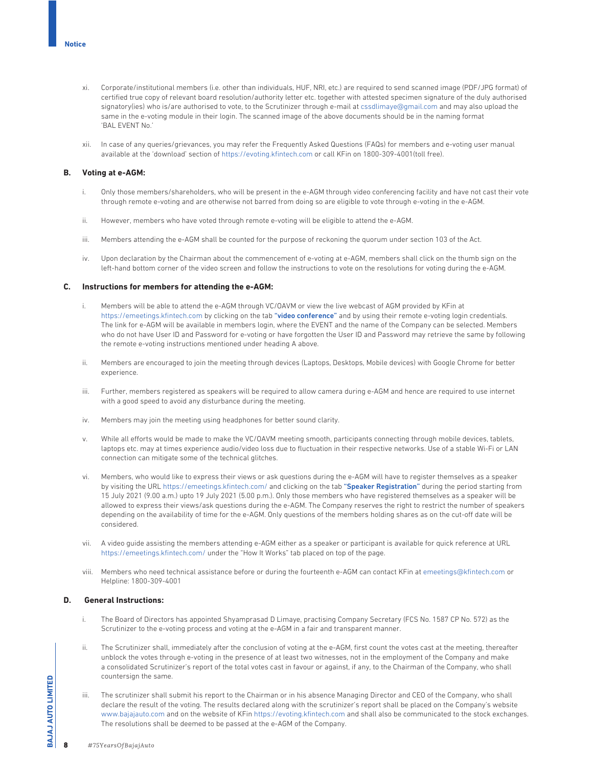- xi. Corporate/institutional members (i.e. other than individuals, HUF, NRI, etc.) are required to send scanned image (PDF/JPG format) of certified true copy of relevant board resolution/authority letter etc. together with attested specimen signature of the duly authorised signatory(ies) who is/are authorised to vote, to the Scrutinizer through e-mail at cssdlimaye@gmail.com and may also upload the same in the e-voting module in their login. The scanned image of the above documents should be in the naming format 'BAL EVENT No.'
- xii. In case of any queries/grievances, you may refer the Frequently Asked Questions (FAQs) for members and e-voting user manual available at the 'download' section of https://evoting.kfintech.com or call KFin on 1800-309-4001(toll free).

## **B. Voting at e-AGM:**

- i. Only those members/shareholders, who will be present in the e-AGM through video conferencing facility and have not cast their vote through remote e-voting and are otherwise not barred from doing so are eligible to vote through e-voting in the e-AGM.
- ii. However, members who have voted through remote e-voting will be eligible to attend the e-AGM.
- iii. Members attending the e-AGM shall be counted for the purpose of reckoning the quorum under section 103 of the Act.
- iv. Upon declaration by the Chairman about the commencement of e-voting at e-AGM, members shall click on the thumb sign on the left-hand bottom corner of the video screen and follow the instructions to vote on the resolutions for voting during the e-AGM.

## **C. Instructions for members for attending the e-AGM:**

- i. Members will be able to attend the e-AGM through VC/OAVM or view the live webcast of AGM provided by KFin at https://emeetings.kfintech.com by clicking on the tab "video conference" and by using their remote e-voting login credentials. The link for e-AGM will be available in members login, where the EVENT and the name of the Company can be selected. Members who do not have User ID and Password for e-voting or have forgotten the User ID and Password may retrieve the same by following the remote e-voting instructions mentioned under heading A above.
- ii. Members are encouraged to join the meeting through devices (Laptops, Desktops, Mobile devices) with Google Chrome for better experience.
- iii. Further, members registered as speakers will be required to allow camera during e-AGM and hence are required to use internet with a good speed to avoid any disturbance during the meeting.
- iv. Members may join the meeting using headphones for better sound clarity.
- v. While all efforts would be made to make the VC/OAVM meeting smooth, participants connecting through mobile devices, tablets, laptops etc. may at times experience audio/video loss due to fluctuation in their respective networks. Use of a stable Wi-Fi or LAN connection can mitigate some of the technical glitches.
- vi. Members, who would like to express their views or ask questions during the e-AGM will have to register themselves as a speaker by visiting the URL https://emeetings.kfintech.com/ and clicking on the tab "Speaker Registration" during the period starting from 15 July 2021 (9.00 a.m.) upto 19 July 2021 (5.00 p.m.). Only those members who have registered themselves as a speaker will be allowed to express their views/ask questions during the e-AGM. The Company reserves the right to restrict the number of speakers depending on the availability of time for the e-AGM. Only questions of the members holding shares as on the cut-off date will be considered.
- vii. A video guide assisting the members attending e-AGM either as a speaker or participant is available for quick reference at URL https://emeetings.kfintech.com/ under the "How It Works" tab placed on top of the page.
- viii. Members who need technical assistance before or during the fourteenth e-AGM can contact KFin at emeetings@kfintech.com or Helpline: 1800-309-4001

## **D. General Instructions:**

- i. The Board of Directors has appointed Shyamprasad D Limaye, practising Company Secretary (FCS No. 1587 CP No. 572) as the Scrutinizer to the e-voting process and voting at the e-AGM in a fair and transparent manner.
- ii. The Scrutinizer shall, immediately after the conclusion of voting at the e-AGM, first count the votes cast at the meeting, thereafter unblock the votes through e-voting in the presence of at least two witnesses, not in the employment of the Company and make a consolidated Scrutinizer's report of the total votes cast in favour or against, if any, to the Chairman of the Company, who shall countersign the same.
- iii. The scrutinizer shall submit his report to the Chairman or in his absence Managing Director and CEO of the Company, who shall declare the result of the voting. The results declared along with the scrutinizer's report shall be placed on the Company's website www.bajajauto.com and on the website of KFin https://evoting.kfintech.com and shall also be communicated to the stock exchanges. The resolutions shall be deemed to be passed at the e-AGM of the Company.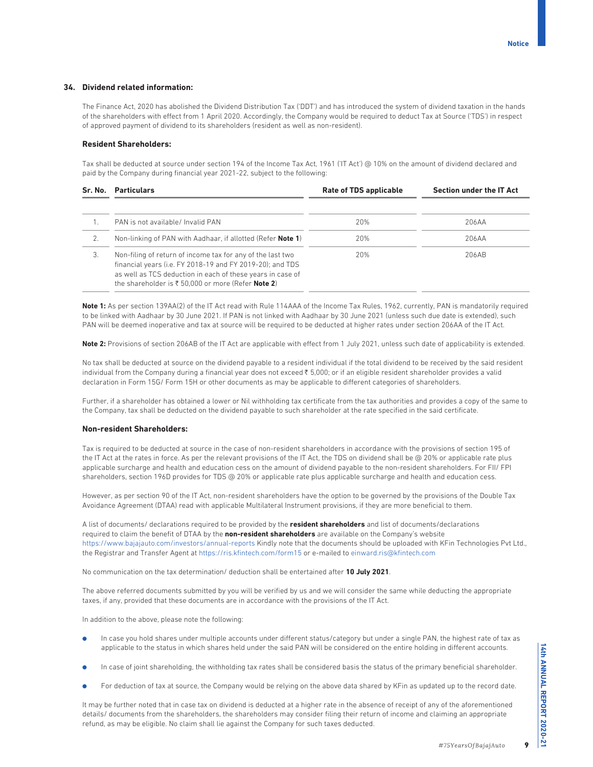# **34. Dividend related information:**

 The Finance Act, 2020 has abolished the Dividend Distribution Tax ('DDT') and has introduced the system of dividend taxation in the hands of the shareholders with effect from 1 April 2020. Accordingly, the Company would be required to deduct Tax at Source ('TDS') in respect of approved payment of dividend to its shareholders (resident as well as non-resident).

#### **Resident Shareholders:**

 Tax shall be deducted at source under section 194 of the Income Tax Act, 1961 ('IT Act') @ 10% on the amount of dividend declared and paid by the Company during financial year 2021-22, subject to the following:

| Sr. No. | <b>Particulars</b>                                                                                                                                                                                                                                             | Rate of TDS applicable | Section under the IT Act |  |
|---------|----------------------------------------------------------------------------------------------------------------------------------------------------------------------------------------------------------------------------------------------------------------|------------------------|--------------------------|--|
|         | PAN is not available/ Invalid PAN                                                                                                                                                                                                                              | 20%                    | 206AA                    |  |
|         | Non-linking of PAN with Aadhaar, if allotted (Refer Note 1)                                                                                                                                                                                                    | 20%                    | 206AA                    |  |
| 3.      | Non-filing of return of income tax for any of the last two<br>financial years (i.e. FY 2018-19 and FY 2019-20); and TDS<br>as well as TCS deduction in each of these years in case of<br>the shareholder is $\bar{\tau}$ 50.000 or more (Refer <b>Note 2</b> ) | 20%                    | 206AB                    |  |

**Note 1:** As per section 139AA(2) of the IT Act read with Rule 114AAA of the Income Tax Rules, 1962, currently, PAN is mandatorily required to be linked with Aadhaar by 30 June 2021. If PAN is not linked with Aadhaar by 30 June 2021 (unless such due date is extended), such PAN will be deemed inoperative and tax at source will be required to be deducted at higher rates under section 206AA of the IT Act.

Note 2: Provisions of section 206AB of the IT Act are applicable with effect from 1 July 2021, unless such date of applicability is extended.

 No tax shall be deducted at source on the dividend payable to a resident individual if the total dividend to be received by the said resident individual from the Company during a financial year does not exceed 5,000; or if an eligible resident shareholder provides a valid declaration in Form 15G/ Form 15H or other documents as may be applicable to different categories of shareholders.

 Further, if a shareholder has obtained a lower or Nil withholding tax certificate from the tax authorities and provides a copy of the same to the Company, tax shall be deducted on the dividend payable to such shareholder at the rate specified in the said certificate.

## **Non-resident Shareholders:**

 Tax is required to be deducted at source in the case of non-resident shareholders in accordance with the provisions of section 195 of the IT Act at the rates in force. As per the relevant provisions of the IT Act, the TDS on dividend shall be @ 20% or applicable rate plus applicable surcharge and health and education cess on the amount of dividend payable to the non-resident shareholders. For FII/ FPI shareholders, section 196D provides for TDS @ 20% or applicable rate plus applicable surcharge and health and education cess.

 However, as per section 90 of the IT Act, non-resident shareholders have the option to be governed by the provisions of the Double Tax Avoidance Agreement (DTAA) read with applicable Multilateral Instrument provisions, if they are more beneficial to them.

 A list of documents/ declarations required to be provided by the **resident shareholders** and list of documents/declarations required to claim the benefit of DTAA by the **non-resident shareholders** are available on the Company's website https://www.bajajauto.com/investors/annual-reports Kindly note that the documents should be uploaded with KFin Technologies Pvt Ltd., the Registrar and Transfer Agent at https://ris.kfintech.com/form15 or e-mailed to einward.ris@kfintech.com

No communication on the tax determination/ deduction shall be entertained after **10 July 2021**.

 The above referred documents submitted by you will be verified by us and we will consider the same while deducting the appropriate taxes, if any, provided that these documents are in accordance with the provisions of the IT Act.

In addition to the above, please note the following:

- In case you hold shares under multiple accounts under different status/category but under a single PAN, the highest rate of tax as applicable to the status in which shares held under the said PAN will be considered on the entire holding in different accounts.
- In case of joint shareholding, the withholding tax rates shall be considered basis the status of the primary beneficial shareholder.
- For deduction of tax at source, the Company would be relying on the above data shared by KFin as updated up to the record date.

 It may be further noted that in case tax on dividend is deducted at a higher rate in the absence of receipt of any of the aforementioned details/ documents from the shareholders, the shareholders may consider filing their return of income and claiming an appropriate refund, as may be eligible. No claim shall lie against the Company for such taxes deducted.

**14th ANNUAL REPORT 2020-21 14th ANNUAL REPORT 2020-21**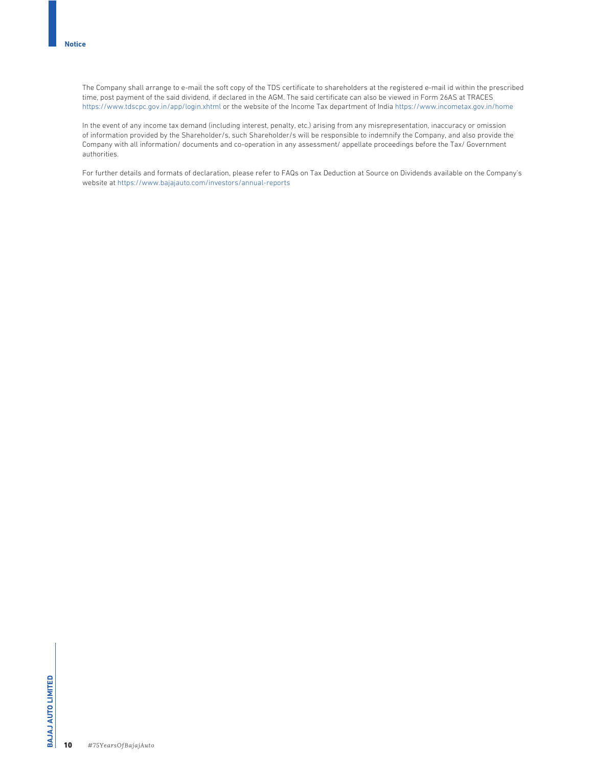The Company shall arrange to e-mail the soft copy of the TDS certificate to shareholders at the registered e-mail id within the prescribed time, post payment of the said dividend, if declared in the AGM. The said certificate can also be viewed in Form 26AS at TRACES https://www.tdscpc.gov.in/app/login.xhtml or the website of the Income Tax department of India https://www.incometax.gov.in/home

 In the event of any income tax demand (including interest, penalty, etc.) arising from any misrepresentation, inaccuracy or omission of information provided by the Shareholder/s, such Shareholder/s will be responsible to indemnify the Company, and also provide the Company with all information/ documents and co-operation in any assessment/ appellate proceedings before the Tax/ Government authorities.

 For further details and formats of declaration, please refer to FAQs on Tax Deduction at Source on Dividends available on the Company's website at https://www.bajajauto.com/investors/annual-reports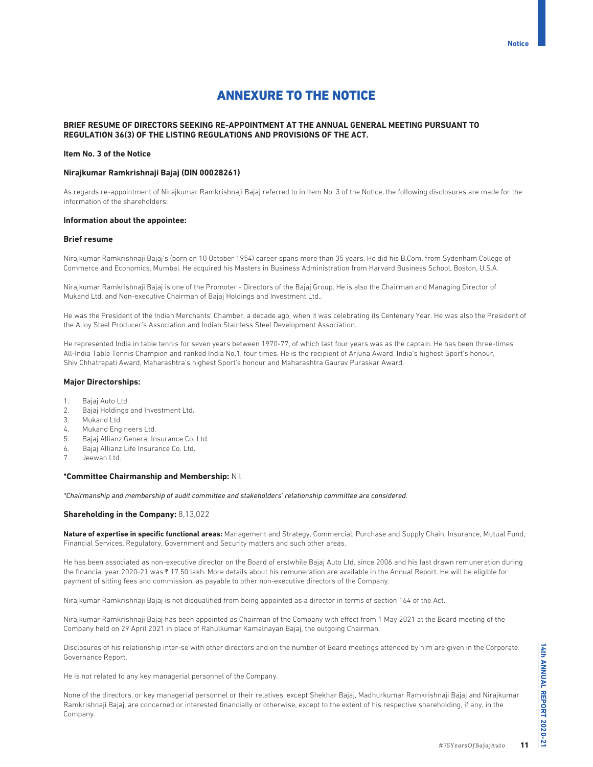# ANNEXURE TO THE NOTICE

# **BRIEF RESUME OF DIRECTORS SEEKING RE-APPOINTMENT AT THE ANNUAL GENERAL MEETING PURSUANT TO REGULATION 36(3) OF THE LISTING REGULATIONS AND PROVISIONS OF THE ACT.**

# **Item No. 3 of the Notice**

## **Nirajkumar Ramkrishnaji Bajaj (DIN 00028261)**

As regards re-appointment of Nirajkumar Ramkrishnaji Bajaj referred to in Item No. 3 of the Notice, the following disclosures are made for the information of the shareholders:

#### **Information about the appointee:**

#### **Brief resume**

Nirajkumar Ramkrishnaji Bajaj's (born on 10 October 1954) career spans more than 35 years. He did his B.Com. from Sydenham College of Commerce and Economics, Mumbai. He acquired his Masters in Business Administration from Harvard Business School, Boston, U.S.A.

Nirajkumar Ramkrishnaji Bajaj is one of the Promoter - Directors of the Bajaj Group. He is also the Chairman and Managing Director of Mukand Ltd. and Non-executive Chairman of Bajaj Holdings and Investment Ltd..

He was the President of the Indian Merchants' Chamber, a decade ago, when it was celebrating its Centenary Year. He was also the President of the Alloy Steel Producer's Association and Indian Stainless Steel Development Association.

He represented India in table tennis for seven years between 1970-77, of which last four years was as the captain. He has been three-times All-India Table Tennis Champion and ranked India No.1, four times. He is the recipient of Arjuna Award, India's highest Sport's honour, Shiv Chhatrapati Award, Maharashtra's highest Sport's honour and Maharashtra Gaurav Puraskar Award.

#### **Major Directorships:**

- 1. Bajaj Auto Ltd.
- 2. Bajaj Holdings and Investment Ltd.
- 3. Mukand Ltd.
- 4. Mukand Engineers Ltd.
- 5. Bajaj Allianz General Insurance Co. Ltd.
- 6. Bajaj Allianz Life Insurance Co. Ltd.
- 7. Jeewan Ltd.

#### **\*Committee Chairmanship and Membership:** Nil

*\*Chairmanship and membership of audit committee and stakeholders' relationship committee are considered.*

#### **Shareholding in the Company:** 8,13,022

**Nature of expertise in specific functional areas:** Management and Strategy, Commercial, Purchase and Supply Chain, Insurance, Mutual Fund, Financial Services, Regulatory, Government and Security matters and such other areas.

He has been associated as non-executive director on the Board of erstwhile Bajaj Auto Ltd. since 2006 and his last drawn remuneration during the financial year 2020-21 was ₹ 17.50 lakh. More details about his remuneration are available in the Annual Report. He will be eligible for payment of sitting fees and commission, as payable to other non-executive directors of the Company.

Nirajkumar Ramkrishnaji Bajaj is not disqualified from being appointed as a director in terms of section 164 of the Act.

Nirajkumar Ramkrishnaji Bajaj has been appointed as Chairman of the Company with effect from 1 May 2021 at the Board meeting of the Company held on 29 April 2021 in place of Rahulkumar Kamalnayan Bajaj, the outgoing Chairman.

Disclosures of his relationship inter-se with other directors and on the number of Board meetings attended by him are given in the Corporate Governance Report.

He is not related to any key managerial personnel of the Company.

None of the directors, or key managerial personnel or their relatives, except Shekhar Bajaj, Madhurkumar Ramkrishnaji Bajaj and Nirajkumar Ramkrishnaji Bajaj, are concerned or interested financially or otherwise, except to the extent of his respective shareholding, if any, in the Company.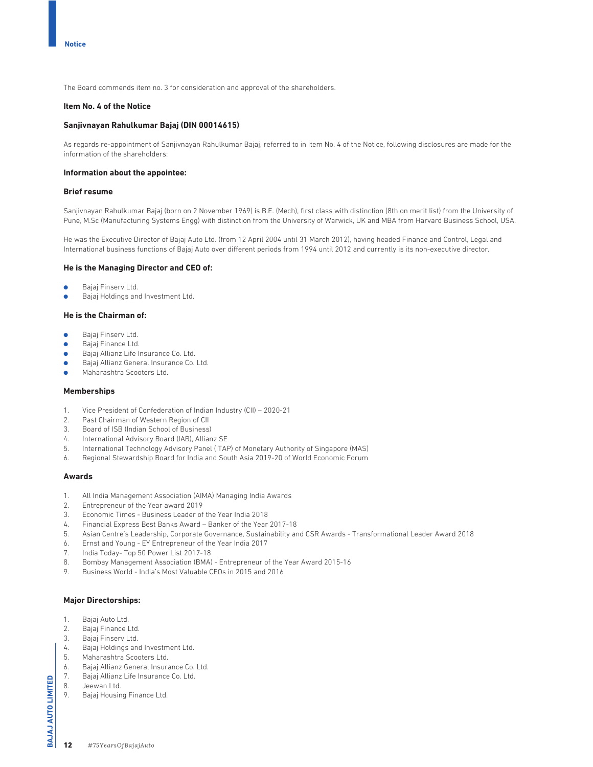The Board commends item no. 3 for consideration and approval of the shareholders.

# **Item No. 4 of the Notice**

# **Sanjivnayan Rahulkumar Bajaj (DIN 00014615)**

As regards re-appointment of Sanjivnayan Rahulkumar Bajaj, referred to in Item No. 4 of the Notice, following disclosures are made for the information of the shareholders:

#### **Information about the appointee:**

# **Brief resume**

Sanjivnayan Rahulkumar Bajaj (born on 2 November 1969) is B.E. (Mech), first class with distinction (8th on merit list) from the University of Pune, M.Sc (Manufacturing Systems Engg) with distinction from the University of Warwick, UK and MBA from Harvard Business School, USA.

He was the Executive Director of Bajaj Auto Ltd. (from 12 April 2004 until 31 March 2012), having headed Finance and Control, Legal and International business functions of Bajaj Auto over different periods from 1994 until 2012 and currently is its non-executive director.

#### **He is the Managing Director and CEO of:**

- Bajaj Finserv Ltd.
- Bajaj Holdings and Investment Ltd.

# **He is the Chairman of:**

- Bajaj Finserv Ltd.
- **•** Bajaj Finance Ltd.
- **Bajaj Allianz Life Insurance Co. Ltd.**
- Bajaj Allianz General Insurance Co. Ltd.
- **COMA** Maharashtra Scooters Ltd.

#### **Memberships**

- 1. Vice President of Confederation of Indian Industry (CII) 2020-21
- 2. Past Chairman of Western Region of CII
- 3. Board of ISB (Indian School of Business)
- 4. International Advisory Board (IAB), Allianz SE
- 5. International Technology Advisory Panel (ITAP) of Monetary Authority of Singapore (MAS)
- 6. Regional Stewardship Board for India and South Asia 2019-20 of World Economic Forum

# **Awards**

- 1. All India Management Association (AIMA) Managing India Awards
- 2. Entrepreneur of the Year award 2019
- 3. Economic Times Business Leader of the Year India 2018
- 4. Financial Express Best Banks Award Banker of the Year 2017-18
- 5. Asian Centre's Leadership, Corporate Governance, Sustainability and CSR Awards Transformational Leader Award 2018
- 6. Ernst and Young EY Entrepreneur of the Year India 2017
- 7. India Today- Top 50 Power List 2017-18
- 8. Bombay Management Association (BMA) Entrepreneur of the Year Award 2015-16
- 9. Business World India's Most Valuable CEOs in 2015 and 2016

# **Major Directorships:**

- 1. Bajaj Auto Ltd.
- 2. Bajaj Finance Ltd.
- 3. Bajaj Finserv Ltd.
- 4. Bajaj Holdings and Investment Ltd.
- 5. Maharashtra Scooters Ltd.
- 6. Bajaj Allianz General Insurance Co. Ltd.
- 7. Bajaj Allianz Life Insurance Co. Ltd.
- 8. Jeewan Ltd.
- 9. Bajaj Housing Finance Ltd.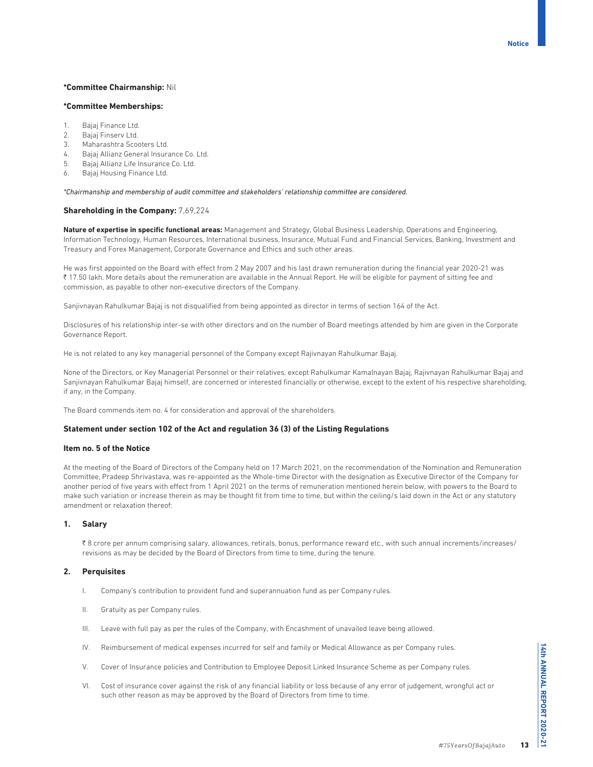# **\*Committee Chairmanship:** Nil

# **\*Committee Memberships:**

- 1. Bajaj Finance Ltd.
- 2. Bajaj Finserv Ltd.
- 3. Maharashtra Scooters Ltd.
- 4. Bajaj Allianz General Insurance Co. Ltd.
- 5. Bajaj Allianz Life Insurance Co. Ltd.
- 6. Bajaj Housing Finance Ltd.

*\*Chairmanship and membership of audit committee and stakeholders' relationship committee are considered.*

## **Shareholding in the Company:** 7,69,224

**Nature of expertise in specific functional areas:** Management and Strategy, Global Business Leadership, Operations and Engineering, Information Technology, Human Resources, International business, Insurance, Mutual Fund and Financial Services, Banking, Investment and Treasury and Forex Management, Corporate Governance and Ethics and such other areas.

He was first appointed on the Board with effect from 2 May 2007 and his last drawn remuneration during the financial year 2020-21 was 17.50 lakh. More details about the remuneration are available in the Annual Report. He will be eligible for payment of sitting fee and commission, as payable to other non-executive directors of the Company.

Sanjivnayan Rahulkumar Bajaj is not disqualified from being appointed as director in terms of section 164 of the Act.

Disclosures of his relationship inter-se with other directors and on the number of Board meetings attended by him are given in the Corporate Governance Report.

He is not related to any key managerial personnel of the Company except Rajivnayan Rahulkumar Bajaj.

None of the Directors, or Key Managerial Personnel or their relatives, except Rahulkumar Kamalnayan Bajaj, Rajivnayan Rahulkumar Bajaj and Sanjivnayan Rahulkumar Bajaj himself, are concerned or interested financially or otherwise, except to the extent of his respective shareholding, if any, in the Company.

The Board commends item no. 4 for consideration and approval of the shareholders.

## **Statement under section 102 of the Act and regulation 36 (3) of the Listing Regulations**

# **Item no. 5 of the Notice**

At the meeting of the Board of Directors of the Company held on 17 March 2021, on the recommendation of the Nomination and Remuneration Committee, Pradeep Shrivastava, was re-appointed as the Whole-time Director with the designation as Executive Director of the Company for another period of five years with effect from 1 April 2021 on the terms of remuneration mentioned herein below, with powers to the Board to make such variation or increase therein as may be thought fit from time to time, but within the ceiling/s laid down in the Act or any statutory amendment or relaxation thereof:

## **1. Salary**

 $\bar{\tau}$  8 crore per annum comprising salary, allowances, retirals, bonus, performance reward etc., with such annual increments/increases/ revisions as may be decided by the Board of Directors from time to time, during the tenure.

## **2. Perquisites**

- I. Company's contribution to provident fund and superannuation fund as per Company rules.
- II. Gratuity as per Company rules.
- III. Leave with full pay as per the rules of the Company, with Encashment of unavailed leave being allowed.
- IV. Reimbursement of medical expenses incurred for self and family or Medical Allowance as per Company rules.
- V. Cover of Insurance policies and Contribution to Employee Deposit Linked Insurance Scheme as per Company rules.
- VI. Cost of insurance cover against the risk of any financial liability or loss because of any error of judgement, wrongful act or such other reason as may be approved by the Board of Directors from time to time.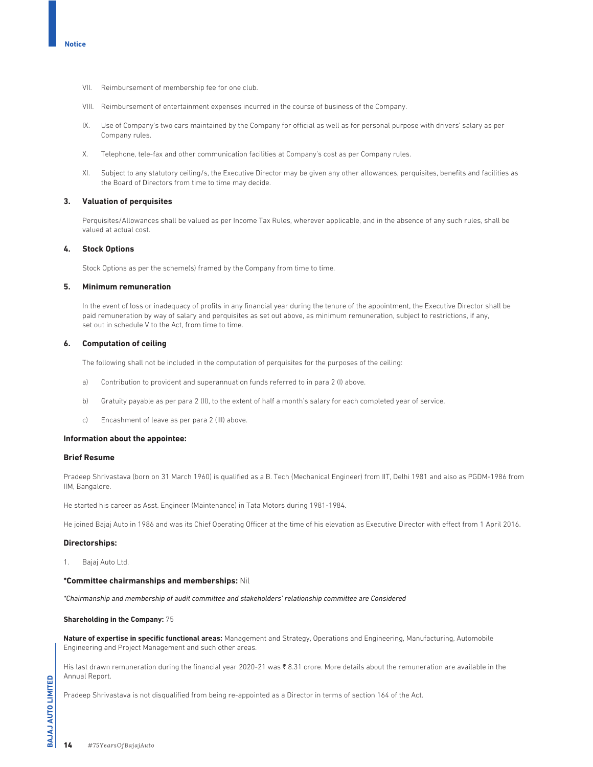- VII. Reimbursement of membership fee for one club.
- VIII. Reimbursement of entertainment expenses incurred in the course of business of the Company.
- IX. Use of Company's two cars maintained by the Company for official as well as for personal purpose with drivers' salary as per Company rules.
- X. Telephone, tele-fax and other communication facilities at Company's cost as per Company rules.
- XI. Subject to any statutory ceiling/s, the Executive Director may be given any other allowances, perquisites, benefits and facilities as the Board of Directors from time to time may decide.

## **3. Valuation of perquisites**

 Perquisites/Allowances shall be valued as per Income Tax Rules, wherever applicable, and in the absence of any such rules, shall be valued at actual cost.

# **4. Stock Options**

Stock Options as per the scheme(s) framed by the Company from time to time.

# **5. Minimum remuneration**

 In the event of loss or inadequacy of profits in any financial year during the tenure of the appointment, the Executive Director shall be paid remuneration by way of salary and perquisites as set out above, as minimum remuneration, subject to restrictions, if any, set out in schedule V to the Act, from time to time.

## **6. Computation of ceiling**

The following shall not be included in the computation of perquisites for the purposes of the ceiling:

- a) Contribution to provident and superannuation funds referred to in para 2 (I) above.
- b) Gratuity payable as per para 2 (II), to the extent of half a month's salary for each completed year of service.
- c) Encashment of leave as per para 2 (III) above.

#### **Information about the appointee:**

# **Brief Resume**

Pradeep Shrivastava (born on 31 March 1960) is qualified as a B. Tech (Mechanical Engineer) from IIT, Delhi 1981 and also as PGDM-1986 from IIM, Bangalore.

He started his career as Asst. Engineer (Maintenance) in Tata Motors during 1981-1984.

He joined Bajaj Auto in 1986 and was its Chief Operating Officer at the time of his elevation as Executive Director with effect from 1 April 2016.

#### **Directorships:**

1. Bajaj Auto Ltd.

# **\*Committee chairmanships and memberships:** Nil

*\*Chairmanship and membership of audit committee and stakeholders' relationship committee are Considered*

## **Shareholding in the Company:** 75

**Nature of expertise in specific functional areas:** Management and Strategy, Operations and Engineering, Manufacturing, Automobile Engineering and Project Management and such other areas.

His last drawn remuneration during the financial year 2020-21 was ₹8.31 crore. More details about the remuneration are available in the Annual Report.

Pradeep Shrivastava is not disqualified from being re-appointed as a Director in terms of section 164 of the Act.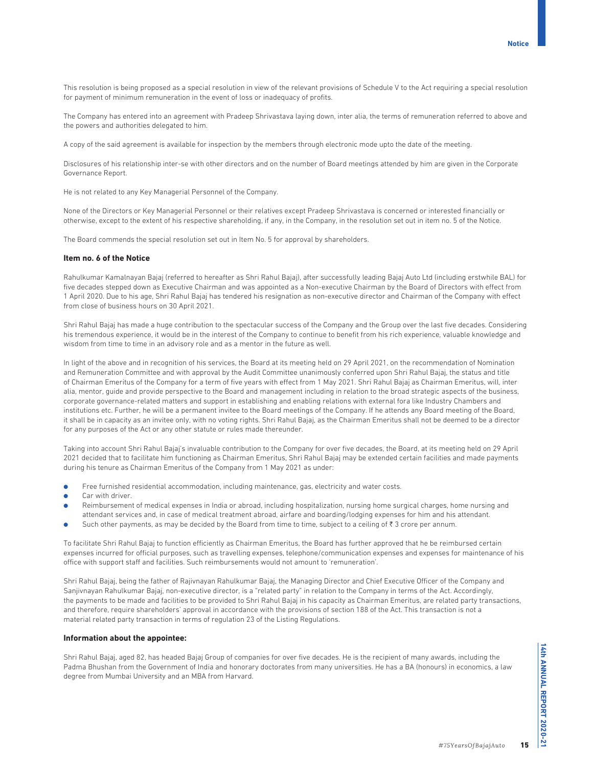**Notice**

This resolution is being proposed as a special resolution in view of the relevant provisions of Schedule V to the Act requiring a special resolution for payment of minimum remuneration in the event of loss or inadequacy of profits.

The Company has entered into an agreement with Pradeep Shrivastava laying down, inter alia, the terms of remuneration referred to above and the powers and authorities delegated to him.

A copy of the said agreement is available for inspection by the members through electronic mode upto the date of the meeting.

Disclosures of his relationship inter-se with other directors and on the number of Board meetings attended by him are given in the Corporate Governance Report.

He is not related to any Key Managerial Personnel of the Company.

None of the Directors or Key Managerial Personnel or their relatives except Pradeep Shrivastava is concerned or interested financially or otherwise, except to the extent of his respective shareholding, if any, in the Company, in the resolution set out in item no. 5 of the Notice.

The Board commends the special resolution set out in Item No. 5 for approval by shareholders.

#### **Item no. 6 of the Notice**

Rahulkumar Kamalnayan Bajaj (referred to hereafter as Shri Rahul Bajaj), after successfully leading Bajaj Auto Ltd (including erstwhile BAL) for five decades stepped down as Executive Chairman and was appointed as a Non-executive Chairman by the Board of Directors with effect from 1 April 2020. Due to his age, Shri Rahul Bajaj has tendered his resignation as non-executive director and Chairman of the Company with effect from close of business hours on 30 April 2021.

Shri Rahul Bajaj has made a huge contribution to the spectacular success of the Company and the Group over the last five decades. Considering his tremendous experience, it would be in the interest of the Company to continue to benefit from his rich experience, valuable knowledge and wisdom from time to time in an advisory role and as a mentor in the future as well.

In light of the above and in recognition of his services, the Board at its meeting held on 29 April 2021, on the recommendation of Nomination and Remuneration Committee and with approval by the Audit Committee unanimously conferred upon Shri Rahul Bajaj, the status and title of Chairman Emeritus of the Company for a term of five years with effect from 1 May 2021. Shri Rahul Bajaj as Chairman Emeritus, will, inter alia, mentor, guide and provide perspective to the Board and management including in relation to the broad strategic aspects of the business, corporate governance-related matters and support in establishing and enabling relations with external fora like Industry Chambers and institutions etc. Further, he will be a permanent invitee to the Board meetings of the Company. If he attends any Board meeting of the Board, it shall be in capacity as an invitee only, with no voting rights. Shri Rahul Bajaj, as the Chairman Emeritus shall not be deemed to be a director for any purposes of the Act or any other statute or rules made thereunder.

Taking into account Shri Rahul Bajaj's invaluable contribution to the Company for over five decades, the Board, at its meeting held on 29 April 2021 decided that to facilitate him functioning as Chairman Emeritus, Shri Rahul Bajaj may be extended certain facilities and made payments during his tenure as Chairman Emeritus of the Company from 1 May 2021 as under:

- O Free furnished residential accommodation, including maintenance, gas, electricity and water costs.
- Car with driver.
- Reimbursement of medical expenses in India or abroad, including hospitalization, nursing home surgical charges, home nursing and attendant services and, in case of medical treatment abroad, airfare and boarding/lodging expenses for him and his attendant.
- $\bullet$  Such other payments, as may be decided by the Board from time to time, subject to a ceiling of  $\bar{\tau}$  3 crore per annum.

To facilitate Shri Rahul Bajaj to function efficiently as Chairman Emeritus, the Board has further approved that he be reimbursed certain expenses incurred for official purposes, such as travelling expenses, telephone/communication expenses and expenses for maintenance of his office with support staff and facilities. Such reimbursements would not amount to 'remuneration'.

Shri Rahul Bajaj, being the father of Rajivnayan Rahulkumar Bajaj, the Managing Director and Chief Executive Officer of the Company and Sanjivnayan Rahulkumar Bajaj, non-executive director, is a "related party" in relation to the Company in terms of the Act. Accordingly, the payments to be made and facilities to be provided to Shri Rahul Bajaj in his capacity as Chairman Emeritus, are related party transactions, and therefore, require shareholders' approval in accordance with the provisions of section 188 of the Act. This transaction is not a material related party transaction in terms of regulation 23 of the Listing Regulations.

## **Information about the appointee:**

Shri Rahul Bajaj, aged 82, has headed Bajaj Group of companies for over five decades. He is the recipient of many awards, including the Padma Bhushan from the Government of India and honorary doctorates from many universities. He has a BA (honours) in economics, a law degree from Mumbai University and an MBA from Harvard.